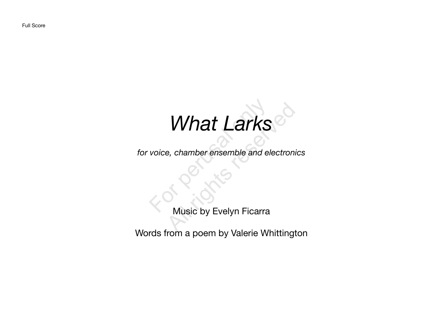Words from a poem by Valerie Whittington

# *What Larks* What Larks<br>voice, chamber ensemble and en<br>Music by Evelyn Ficarra What Larks<br>
e, chamber ensemble and electron.<br>
Music by Evelyn Ficarra

*for voice, chamber ensemble and electronics*

Full Score

Music by Evelyn Ficarra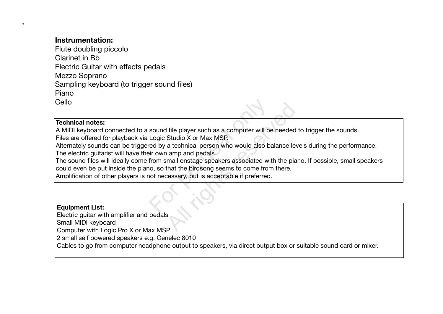## **Equipment List:**

Electric guitar with amplifier and pedals

Small MIDI keyboard

Computer with Logic Pro X or Max MSP

2 small self powered speakers e.g. Genelec 8010

Cables to go from computer headphone output to speakers, via direct output box or suitable sound card or mixer.

## **Technical notes:**

The sound files will ideally come from small onstage speakers associated with the piano. If possible, small speakers could even be put inside the piano, so that the birdsong seems to come from there. sound file player such as a computer will b<br>Logic Studio X or Max MSP.<br>For perform and person who would also be<br>tir own amp and pedals.<br>from small onstage speakers associated with<br>the birdsong seems to come from<br>the necess I file player such as a computer will be needed<br>Studio X or Max MSP.<br>a technical person who would also balance le<br>i amp and pedals.<br>that the birdsong seems to come from there.<br>cessary, but is acceptable if preferred.

A MIDI keyboard connected to a sound file player such as a computer will be needed to trigger the sounds. Files are offered for playback via Logic Studio X or Max MSP.

Alternately sounds can be triggered by a technical person who would also balance levels during the performance. The electric guitarist will have their own amp and pedals.

Amplification of other players is not necessary, but is acceptable if preferred.

# **Instrumentation:**

Flute doubling piccolo Clarinet in Bb Electric Guitar with effects pedals Mezzo Soprano Sampling keyboard (to trigger sound files) Piano Cello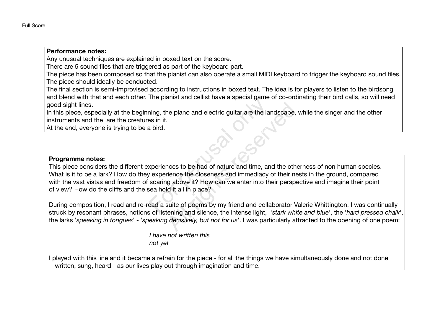### **Programme notes:**

This piece considers the different experiences to be had of nature and time, and the otherness of non human species. What is it to be a lark? How do they experience the closeness and immediacy of their nests in the ground, compared with the vast vistas and freedom of soaring above it? How can we enter into their perspective and imagine their point of view? How do the cliffs and the sea hold it all in place? Frise plants and semet have a special game<br>hing, the piano and electric guitar are the la<br>as in it.<br>a bird.<br>xperiences to be had of nature and time, are<br>vexperiences to be had of nature and time, are<br>speriences the closene The piano and electric guitar are the landscape,<br>
All results respectively.<br>
The preserved and of nature and time, and the other<br>
The presence the closeness and immediacy of their not<br>
all it all in place?<br>
Suite of poems

During composition, I read and re-read a suite of poems by my friend and collaborator Valerie Whittington. I was continually struck by resonant phrases, notions of listening and silence, the intense light, '*stark white and blue*', the '*hard pressed chalk*', the larks 'speaking in tongues' - 'speaking decisively, but not for us'. I was particularly attracted to the opening of one poem:  $\; \; | \;$ 

> *I have not written this not yet*

I played with this line and it became a refrain for the piece - for all the things we have simultaneously done and not done - written, sung, heard - as our lives play out through imagination and time.

### **Performance notes:**

Any unusual techniques are explained in boxed text on the score.

There are 5 sound files that are triggered as part of the keyboard part.

The piece has been composed so that the pianist can also operate a small MIDI keyboard to trigger the keyboard sound files. The piece should ideally be conducted.

The final section is semi-improvised according to instructions in boxed text. The idea is for players to listen to the birdsong and blend with that and each other. The pianist and cellist have a special game of co-ordinating their bird calls, so will need good sight lines.

In this piece, especially at the beginning, the piano and electric guitar are the landscape, while the singer and the other instruments and the are the creatures in it.

At the end, everyone is trying to be a bird.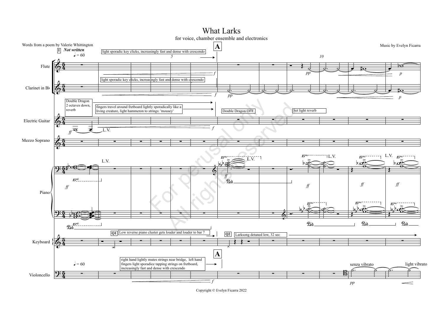### $\frac{1}{2}$  $\sqrt{94}$  $\frac{1}{2}$  $\frac{1}{2}$ Flute Clarinet in Bb Electric Guitar Mezzo Soprano Piano Keyboard Violoncello  $\Box$ *f*  $pp$   $pp$   $p$  $\bullet$  = 60 **A** *5 10 <sup>f</sup> pp <sup>p</sup> ff f ff ff*  $\mathfrak{P}$ ed.  $r_{e0}$ .  $r_{e0}$   $r_{e0}$   $r_{e0}$   $r_{e0}$   $r_{e0}$   $r_{e0}$   $r_{e0}$   $r_{e0}$   $r_{e0}$  $\Box$ = 60 **A**  $5 \qquad \qquad$  $\frac{5}{4}$ 5  $\frac{5}{4}$  $\frac{1}{2}$  $\frac{5}{4}$ 5  $\frac{5}{4}$  $5\frac{1}{2}$ 08 $<$  $\frac{57}{4}$  $5\overline{)128^\circ}$  $\frac{5}{4}$   $\frac{1}{2}$   $\frac{1}{8}$   $\frac{1}{2}$  $5 \qquad \qquad$  $\frac{5}{4}$ 5  $\frac{5}{4}$  $\frac{5}{94}$  – light sporadic key clicks, increasingly fast and dense with crescendo ∑ ∑ **I** *Not written* Words from a poem by Valerie Whittington for voice, chamber ensemble and electronics  $\frac{5}{94}$  - $\sqrt{\frac{1}{2}}$  light sporadic key clicks, increasingly fast and dense with crescendo 6  $\frac{1}{94}$ Double Dragon 2 octaves down, reverb fingers travel around fretboard lightly sporadically like a living creature, light hammeron to strings: 'mousey' L.V Double Dragon OFF  $\mathbb{Z}$   $\mathbb{Z}$   $\mathbb{Z}$   $\mathbb{Z}$   $\mathbb{Z}$   $\mathbb{Z}$   $\mathbb{Z}$   $\mathbb{Z}$   $\mathbb{Z}$   $\mathbb{Z}$   $\mathbb{Z}$   $\mathbb{Z}$   $\mathbb{Z}$   $\mathbb{Z}$   $\mathbb{Z}$   $\mathbb{Z}$   $\mathbb{Z}$   $\mathbb{Z}$   $\mathbb{Z}$   $\mathbb{Z}$   $\mathbb{Z}$   $\mathbb{Z}$   $\mathbb{Z}$   $\mathbb{Z}$   $\mathbb{$ Set light reverb & ∑ ∑ ∑ ∑ ∑ ∑ ∑ ∑ ∑ ∑ ∑ ∑  $9:5\frac{p}{2}$ 08 $\bigodot$ 4 L.V. ∑  $15^{mb}$  - - - - - - - - $\frac{1}{2}$   $\frac{1}{2}$   $\frac{1}{2}$   $\frac{1}{2}$   $\frac{1}{2}$   $\frac{1}{2}$   $\frac{1}{2}$   $\frac{1}{2}$   $\frac{1}{2}$   $\frac{1}{2}$   $\frac{1}{2}$   $\frac{1}{2}$   $\frac{1}{2}$   $\frac{1}{2}$   $\frac{1}{2}$   $\frac{1}{2}$   $\frac{1}{2}$   $\frac{1}{2}$   $\frac{1}{2}$   $\frac{1}{2}$   $\frac{1}{2}$   $\frac{1}{2}$   $\overline{L.V.}$  $25^{mag}$   $25^{mag}$   $25^{mag}$   $25^{mag}$   $25^{mag}$   $25^{mag}$   $25^{mag}$   $25^{mag}$   $25^{mag}$   $25^{mag}$   $25^{mag}$   $25^{mag}$   $25^{mag}$   $25^{mag}$   $25^{mag}$   $25^{mag}$   $25^{mag}$   $25^{mag}$   $25^{mag}$   $25^{mag}$   $25^{mag}$   $25^{mag}$   $25^{mag}$   $25^{mag}$   $25^{mag}$   $25^{mag}$   $25^{mag}$   $25^{mag$  $2.5$   $2.5$   $2.5$   $2.5$ ◊Ÿ  $\frac{1}{2}$   $\frac{1}{2}$   $\frac{1}{2}$   $\frac{1}{2}$   $\frac{1}{2}$   $\frac{1}{2}$   $\frac{1}{2}$   $\frac{1}{2}$   $\frac{1}{2}$   $\frac{1}{2}$   $\frac{1}{2}$   $\frac{1}{2}$   $\frac{1}{2}$   $\frac{1}{2}$   $\frac{1}{2}$   $\frac{1}{2}$   $\frac{1}{2}$   $\frac{1}{2}$   $\frac{1}{2}$   $\frac{1}{2}$   $\frac{1}{2}$   $\frac{1}{2}$   $\frac{15^{ma^{2}-2}}{6}$ & <sup>∑</sup> **Q1** Low reverse piano cluster gets louder and louder to bar 7 <sup>∑</sup> <sup>∑</sup> <sup>∑</sup> <sup>∑</sup> **Q2** Larksong detuned low, 32 sec <sup>∑</sup> <sup>∑</sup> <sup>∑</sup> <sup>∑</sup> <sup>∑</sup>  $\frac{1}{4}$   $\frac{1}{2}$   $\frac{1}{2}$   $\frac{1}{2}$   $\frac{1}{2}$   $\frac{1}{2}$   $\frac{1}{2}$   $\frac{1}{2}$   $\frac{1}{2}$   $\frac{1}{2}$   $\frac{1}{2}$   $\frac{1}{2}$   $\frac{1}{2}$   $\frac{1}{2}$   $\frac{1}{2}$   $\frac{1}{2}$   $\frac{1}{2}$   $\frac{1}{2}$   $\frac{1}{2}$   $\frac{1}{2}$   $\frac{1}{2}$   $\frac{1}{2}$  right hand lightly mutes strings near bridge, left hand fingers light sporadice tapping strings on fretboard, increasingly fast and dense with crescendo  $\blacksquare$ <u>ö: a b: a b: a b: a b: a</u> **p**  $\overline{e}$   $\overline{f}$   $\overline{L.V}$  $\frac{1}{2} \log$  $\overline{\text{be}}$  $\psi$ ™ ™ ™ ™ ™  $\begin{array}{c|c|c}\n\hline\n\text{L.V.} & \text{b} & \text{b} & \text{c} \\
\hline\n\end{array}$  $\overbrace{\mathscr{F}}$  $\overrightarrow{p} = \overrightarrow{p}$ ˙™  $\widetilde{\bigcirc}$ **website**  $\sqrt{8^{\circ}}$ b œœ  $\frac{p}{\sqrt{2}}$  is the contract of  $\frac{p}{\sqrt{2}}$  $z \rightarrow z$  $b\ddot{\tilde{z}}$  $\frac{b}{2}$  $\frac{1}{2}$  $\stackrel{\text{\it{a}}}{\approx}$ ™  $\blacksquare$  $\overline{\phantom{a}}$  $\times$  $\left\{ \begin{array}{c} \bullet \end{array} \right.$ For periodically like a<br>
For the Dragon OFF<br>
For the Dragon OFF<br>
For the Dragon OFF<br>
For the Dragon OFF<br>
For the Dragon OFF<br>
Considered by the Constant of the Dragon OFF<br>
The Dragon OFF<br>
Considered by the Constant of the D Ally like a<br>  $\begin{array}{|c|c|c|}\n\hline\n\text{Table 1} & \text{Double Bragon OFF}\n\hline\n\end{array}$

Copyright © Evelyn Ficarra 2022

**What Larks** 

Music by Evelyn Ficarra



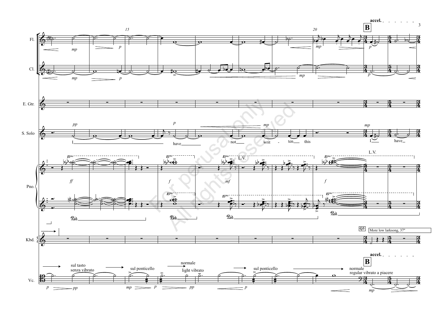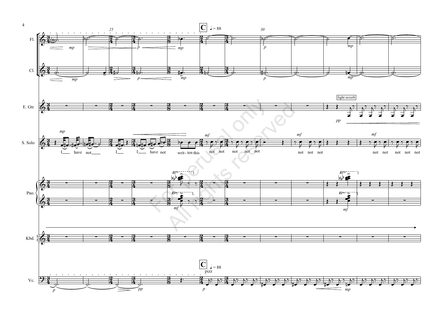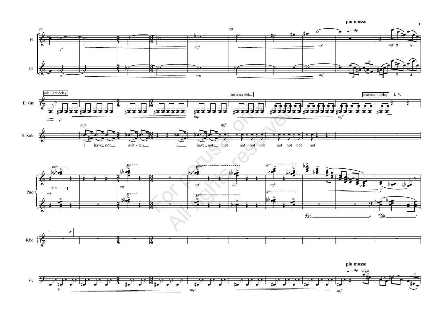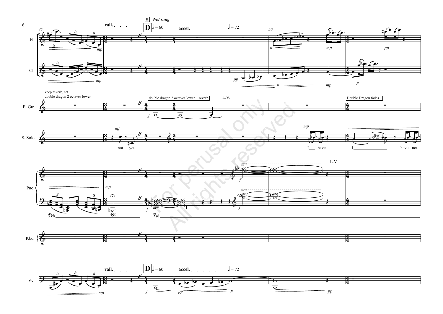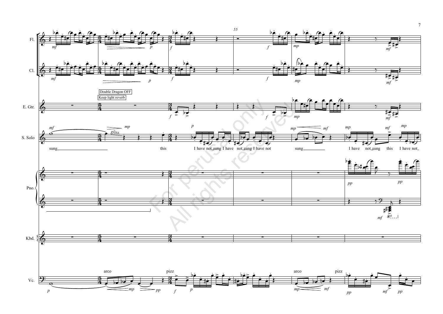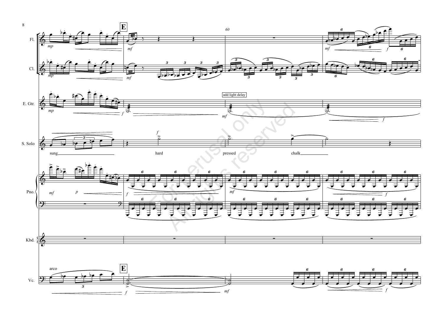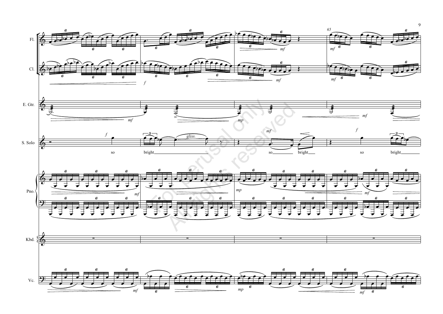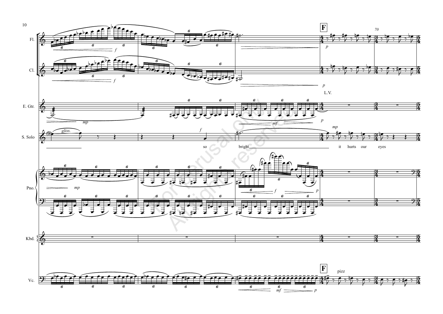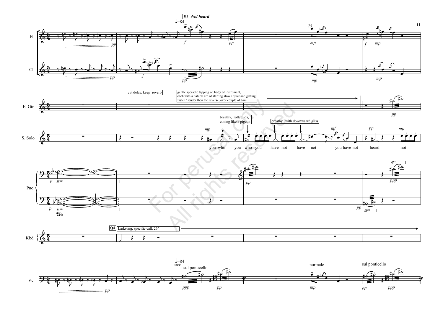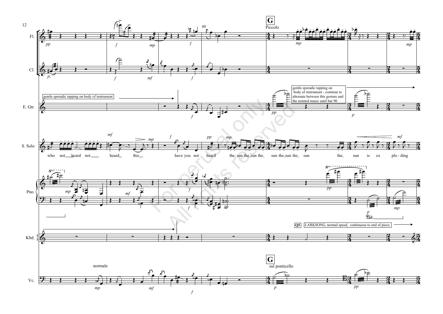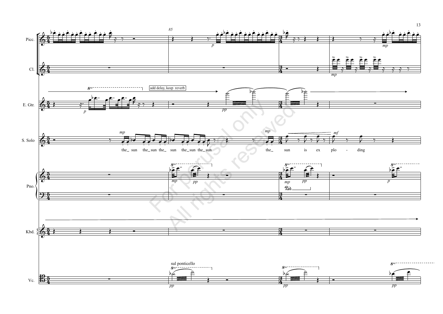